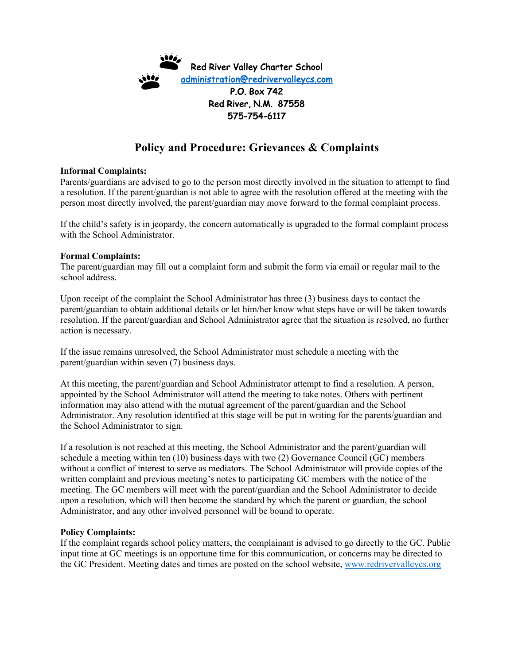

## **Policy and Procedure: Grievances & Complaints**

## **Informal Complaints:**

Parents/guardians are advised to go to the person most directly involved in the situation to attempt to find a resolution. If the parent/guardian is not able to agree with the resolution offered at the meeting with the person most directly involved, the parent/guardian may move forward to the formal complaint process.

If the child's safety is in jeopardy, the concern automatically is upgraded to the formal complaint process with the School Administrator.

## **Formal Complaints:**

The parent/guardian may fill out a complaint form and submit the form via email or regular mail to the school address.

Upon receipt of the complaint the School Administrator has three (3) business days to contact the parent/guardian to obtain additional details or let him/her know what steps have or will be taken towards resolution. If the parent/guardian and School Administrator agree that the situation is resolved, no further action is necessary.

If the issue remains unresolved, the School Administrator must schedule a meeting with the parent/guardian within seven (7) business days.

At this meeting, the parent/guardian and School Administrator attempt to find a resolution. A person, appointed by the School Administrator will attend the meeting to take notes. Others with pertinent information may also attend with the mutual agreement of the parent/guardian and the School Administrator. Any resolution identified at this stage will be put in writing for the parents/guardian and the School Administrator to sign.

If a resolution is not reached at this meeting, the School Administrator and the parent/guardian will schedule a meeting within ten (10) business days with two (2) Governance Council (GC) members without a conflict of interest to serve as mediators. The School Administrator will provide copies of the written complaint and previous meeting's notes to participating GC members with the notice of the meeting. The GC members will meet with the parent/guardian and the School Administrator to decide upon a resolution, which will then become the standard by which the parent or guardian, the school Administrator, and any other involved personnel will be bound to operate.

## **Policy Complaints:**

If the complaint regards school policy matters, the complainant is advised to go directly to the GC. Public input time at GC meetings is an opportune time for this communication, or concerns may be directed to the GC President. Meeting dates and times are posted on the school website, www.redrivervalleycs.org